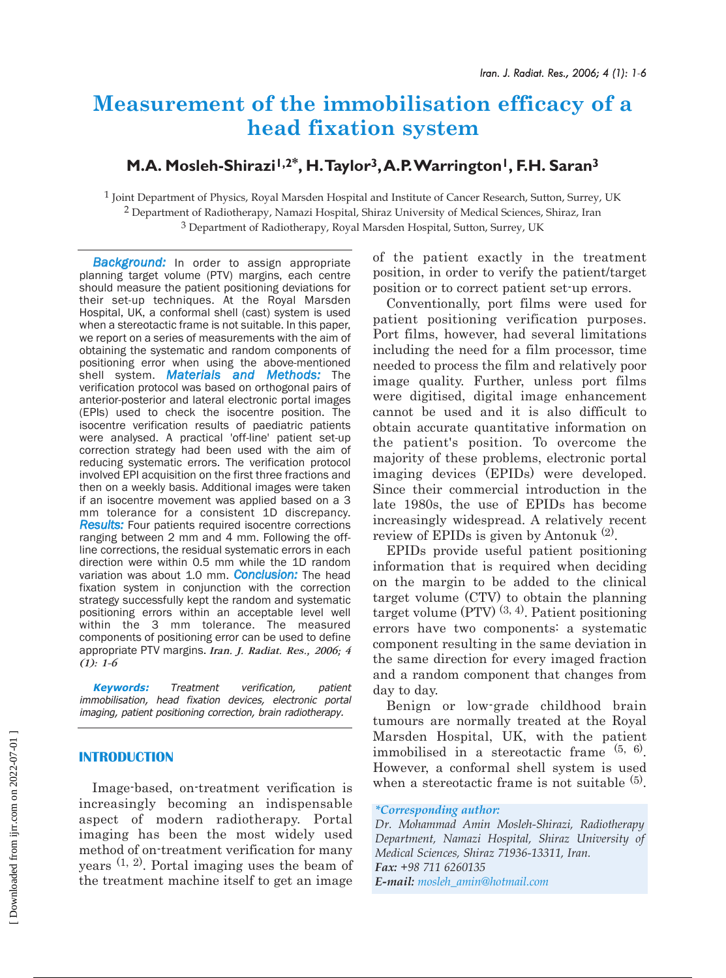# **Measurement of the immobilisation efficacy of a head fixation system**

## **M.A. Mosleh-Shirazi1,2\*, H.Taylor3,A.P.Warrington1, F.H. Saran3**

1 Joint Department of Physics, Royal Marsden Hospital and Institute of Cancer Research, Sutton, Surrey, UK 2 Department of Radiotherapy, Namazi Hospital, Shiraz University of Medical Sciences, Shiraz, Iran 3 Department of Radiotherapy, Royal Marsden Hospital, Sutton, Surrey, UK

**Background:** In order to assign appropriate planning target volume (PTV) margins, each centre should measure the patient positioning deviations for their set-up techniques. At the Royal Marsden Hospital, UK, a conformal shell (cast) system is used when a stereotactic frame is not suitable. In this paper, we report on a series of measurements with the aim of obtaining the systematic and random components of positioning error when using the above-mentioned shell system. *Materials and Methods:* The verification protocol was based on orthogonal pairs of anterior-posterior and lateral electronic portal images (EPIs) used to check the isocentre position. The isocentre verification results of paediatric patients were analysed. A practical 'off-line' patient set-up correction strategy had been used with the aim of reducing systematic errors. The verification protocol involved EPI acquisition on the first three fractions and then on a weekly basis. Additional images were taken if an isocentre movement was applied based on a 3 mm tolerance for a consistent 1D discrepancy. *Results:* Four patients required isocentre corrections ranging between 2 mm and 4 mm. Following the offline corrections, the residual systematic errors in each direction were within 0.5 mm while the 1D random variation was about 1.0 mm. *Conclusion:* The head fixation system in conjunction with the correction strategy successfully kept the random and systematic positioning errors within an acceptable level well within the 3 mm tolerance. The measured components of positioning error can be used to define appropriate PTV margins. *Iran. J. Radiat. Res., 2006; 4 (1): 1-6*

**Keywords:** Treatment verification, patient immobilisation, head fixation devices, electronic portal imaging, patient positioning correction, brain radiotherapy.

### **INTRODUCTION**

Image-based, on-treatment verification is increasingly becoming an indispensable aspect of modern radiotherapy. Portal imaging has been the most widely used method of on-treatment verification for many years (1, 2). Portal imaging uses the beam of the treatment machine itself to get an image

of the patient exactly in the treatment position, in order to verify the patient/target position or to correct patient set-up errors.

Conventionally, port films were used for patient positioning verification purposes. Port films, however, had several limitations including the need for a film processor, time needed to process the film and relatively poor image quality. Further, unless port films were digitised, digital image enhancement cannot be used and it is also difficult to obtain accurate quantitative information on the patient's position. To overcome the majority of these problems, electronic portal imaging devices (EPIDs) were developed. Since their commercial introduction in the late 1980s, the use of EPIDs has become increasingly widespread. A relatively recent review of EPIDs is given by Antonuk (2).

EPIDs provide useful patient positioning information that is required when deciding on the margin to be added to the clinical target volume (CTV) to obtain the planning target volume (PTV)  $(3, 4)$ . Patient positioning errors have two components: a systematic component resulting in the same deviation in the same direction for every imaged fraction and a random component that changes from day to day.

Benign or low-grade childhood brain tumours are normally treated at the Royal Marsden Hospital, UK, with the patient immobilised in a stereotactic frame  $(5, 6)$ . However, a conformal shell system is used when a stereotactic frame is not suitable  $(5)$ .

### *\*Corresponding author:*

*Dr. Mohammad Amin Mosleh-Shirazi, Radiotherapy Department, Namazi Hospital, Shiraz University of Medical Sciences, Shiraz 71936-13311, Iran. Fax: +98 711 6260135 E-mail: mosleh\_amin@hotmail.com*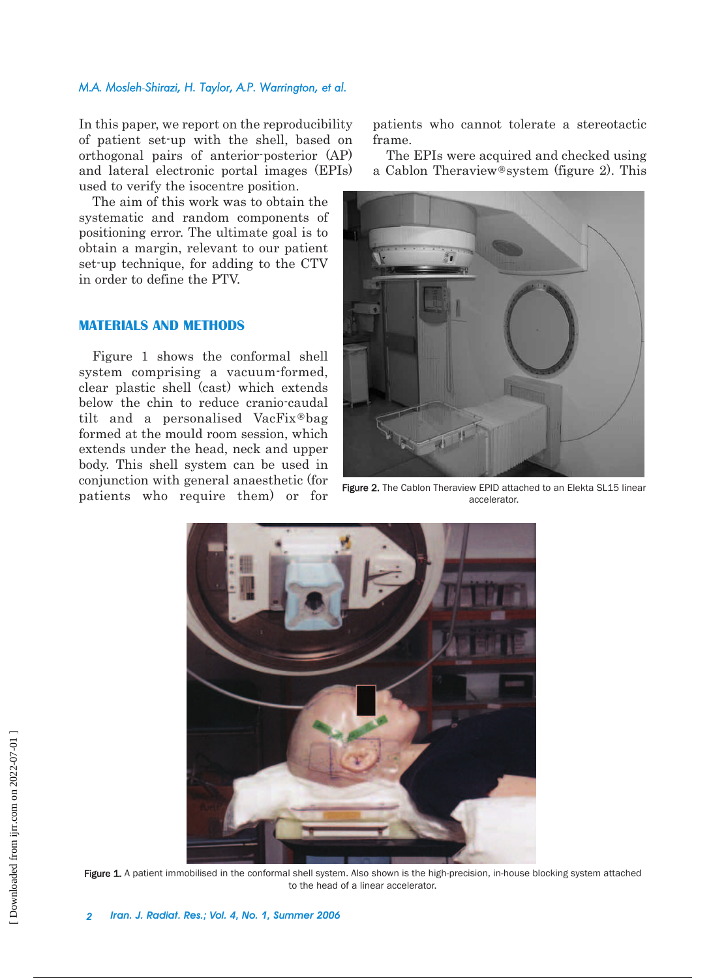### *M.A. Mosleh-Shirazi, H. Taylor, A.P. Warrington, et al.*

In this paper, we report on the reproducibility of patient set-up with the shell, based on orthogonal pairs of anterior-posterior (AP) and lateral electronic portal images (EPIs) used to verify the isocentre position.

The aim of this work was to obtain the systematic and random components of positioning error. The ultimate goal is to obtain a margin, relevant to our patient set-up technique, for adding to the CTV in order to define the PTV.

### **MATERIALS AND METHODS**

Figure 1 shows the conformal shell system comprising a vacuum-formed, clear plastic shell (cast) which extends below the chin to reduce cranio-caudal tilt and a personalised VacFix®bag formed at the mould room session, which extends under the head, neck and upper body. This shell system can be used in conjunction with general anaesthetic (for patients who require them) or for patients who cannot tolerate a stereotactic frame.

The EPIs were acquired and checked using a Cablon Theraview<sup>®</sup>system (figure 2). This



Figure 2. The Cablon Theraview EPID attached to an Elekta SL15 linear accelerator.



Figure 1. A patient immobilised in the conformal shell system. Also shown is the high-precision, in-house blocking system attached to the head of a linear accelerator.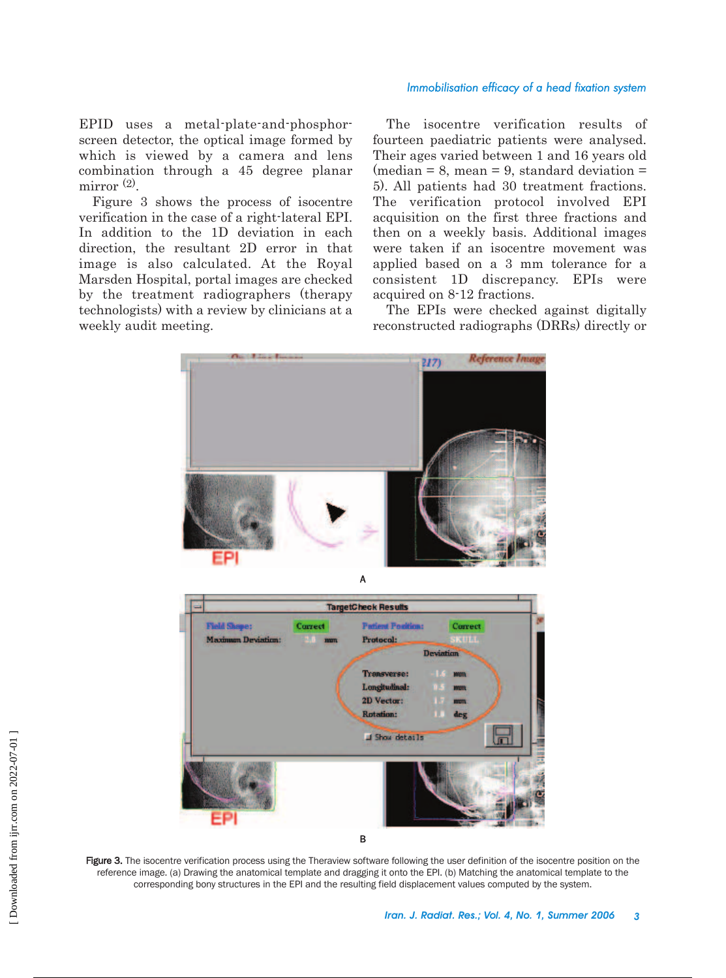### *Immobilisation efficacy of a head fixation system*

EPID uses a metal-plate-and-phosphorscreen detector, the optical image formed by which is viewed by a camera and lens combination through a 45 degree planar mirror<sup>(2)</sup>.

Figure 3 shows the process of isocentre verification in the case of a right-lateral EPI. In addition to the 1D deviation in each direction, the resultant 2D error in that image is also calculated. At the Royal Marsden Hospital, portal images are checked by the treatment radiographers (therapy technologists) with a review by clinicians at a weekly audit meeting.

The isocentre verification results of fourteen paediatric patients were analysed. Their ages varied between 1 and 16 years old  $(median = 8, mean = 9, standard deviation =$ 5). All patients had 30 treatment fractions. The verification protocol involved EPI acquisition on the first three fractions and then on a weekly basis. Additional images were taken if an isocentre movement was applied based on a 3 mm tolerance for a consistent 1D discrepancy. EPIs were acquired on 8-12 fractions.

The EPIs were checked against digitally reconstructed radiographs (DRRs) directly or





Figure 3. The isocentre verification process using the Theraview software following the user definition of the isocentre position on the reference image. (a) Drawing the anatomical template and dragging it onto the EPI. (b) Matching the anatomical template to the corresponding bony structures in the EPI and the resulting field displacement values computed by the system.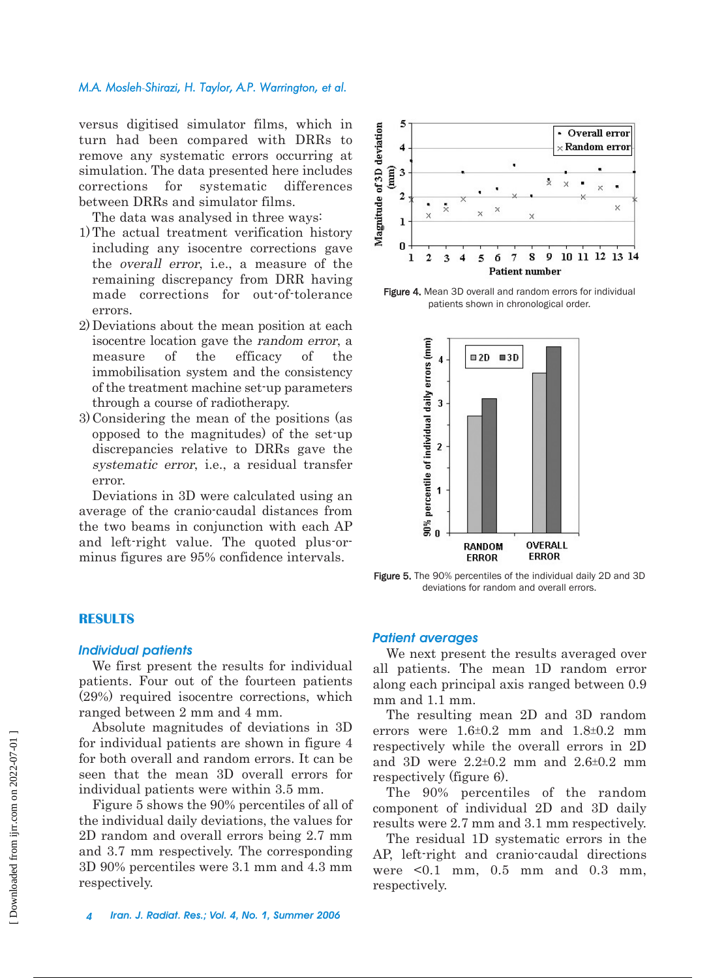### *M.A. Mosleh-Shirazi, H. Taylor, A.P. Warrington, et al.*

versus digitised simulator films, which in turn had been compared with DRRs to remove any systematic errors occurring at simulation. The data presented here includes corrections for systematic differences between DRRs and simulator films.

The data was analysed in three ways:

- 1) The actual treatment verification history including any isocentre corrections gave the overall error, i.e., a measure of the remaining discrepancy from DRR having made corrections for out-of-tolerance errors.
- 2) Deviations about the mean position at each isocentre location gave the random error, a measure of the efficacy of the immobilisation system and the consistency of the treatment machine set-up parameters through a course of radiotherapy.
- 3) Considering the mean of the positions (as opposed to the magnitudes) of the set-up discrepancies relative to DRRs gave the systematic error, i.e., a residual transfer error.

Deviations in 3D were calculated using an average of the cranio-caudal distances from the two beams in conjunction with each AP and left-right value. The quoted plus-orminus figures are 95% confidence intervals.

#### 5 Magnitude of 3D deviation **Overall error**  $\overline{\mathbf{4}}$ Random error  $(mm)$  $\overline{\mathbf{3}}$ Š,  $\times$  $\overline{2}$  $\times$  $\mathbf{\hat{x}}$  $\mathbf{x}$  $\mathbf 1$  $\mathbf{0}$ 9 10 11 12 13 14  $\mathbf{I}$  $\mathbf{2}$ 3 5 6  $\overline{7}$ 8 **Patient number**

Figure 4. Mean 3D overall and random errors for individual patients shown in chronological order.



Figure 5. The 90% percentiles of the individual daily 2D and 3D deviations for random and overall errors.

### **RESULTS**

### *Individual patients*

We first present the results for individual patients. Four out of the fourteen patients (29%) required isocentre corrections, which ranged between 2 mm and 4 mm.

Absolute magnitudes of deviations in 3D for individual patients are shown in figure 4 for both overall and random errors. It can be seen that the mean 3D overall errors for individual patients were within 3.5 mm.

Figure 5 shows the 90% percentiles of all of the individual daily deviations, the values for 2D random and overall errors being 2.7 mm and 3.7 mm respectively. The corresponding 3D 90% percentiles were 3.1 mm and 4.3 mm respectively.

### *Patient averages*

We next present the results averaged over all patients. The mean 1D random error along each principal axis ranged between 0.9 mm and 1.1 mm.

The resulting mean 2D and 3D random errors were  $1.6\pm0.2$  mm and  $1.8\pm0.2$  mm respectively while the overall errors in 2D and 3D were  $2.2 \pm 0.2$  mm and  $2.6 \pm 0.2$  mm respectively (figure 6).

The 90% percentiles of the random component of individual 2D and 3D daily results were 2.7 mm and 3.1 mm respectively.

The residual 1D systematic errors in the AP, left-right and cranio-caudal directions were <0.1 mm, 0.5 mm and 0.3 mm, respectively.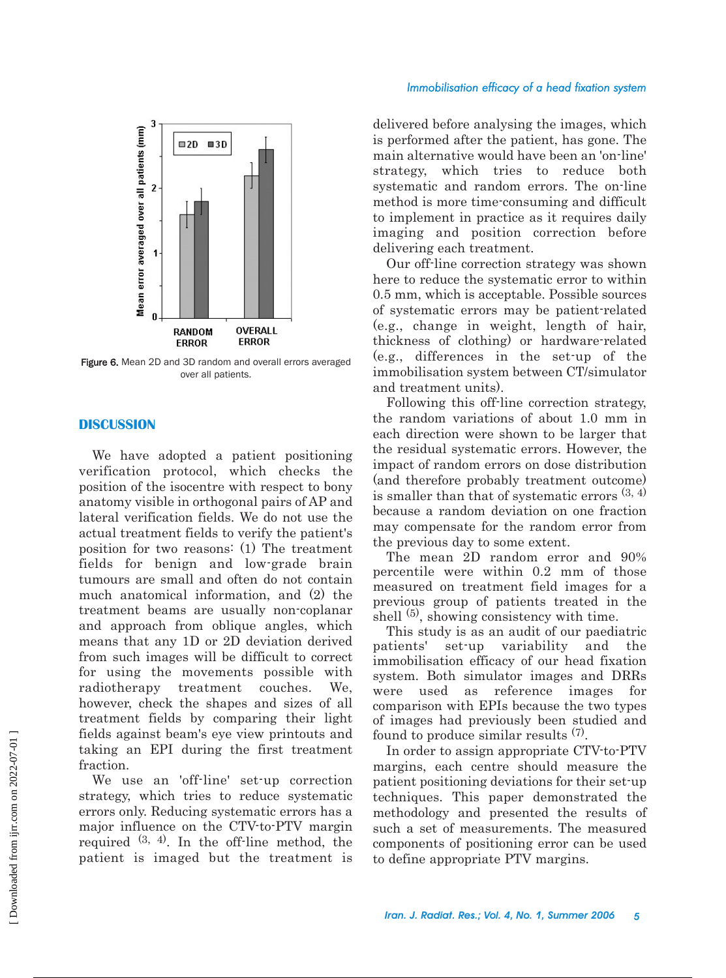### *Immobilisation efficacy of a head fixation system*



Figure 6. Mean 2D and 3D random and overall errors averaged over all patients.

### **DISCUSSION**

We have adopted a patient positioning verification protocol, which checks the position of the isocentre with respect to bony anatomy visible in orthogonal pairs of AP and lateral verification fields. We do not use the actual treatment fields to verify the patient's position for two reasons: (1) The treatment fields for benign and low-grade brain tumours are small and often do not contain much anatomical information, and (2) the treatment beams are usually non-coplanar and approach from oblique angles, which means that any 1D or 2D deviation derived from such images will be difficult to correct for using the movements possible with radiotherapy treatment couches. We, however, check the shapes and sizes of all treatment fields by comparing their light fields against beam's eye view printouts and taking an EPI during the first treatment fraction.

We use an 'off-line' set-up correction strategy, which tries to reduce systematic errors only. Reducing systematic errors has a major influence on the CTV-to-PTV margin required  $(3, 4)$ . In the off-line method, the patient is imaged but the treatment is delivered before analysing the images, which is performed after the patient, has gone. The main alternative would have been an 'on-line' strategy, which tries to reduce both systematic and random errors. The on-line method is more time-consuming and difficult to implement in practice as it requires daily imaging and position correction before delivering each treatment.

Our off-line correction strategy was shown here to reduce the systematic error to within 0.5 mm, which is acceptable. Possible sources of systematic errors may be patient-related (e.g., change in weight, length of hair, thickness of clothing) or hardware-related (e.g., differences in the set-up of the immobilisation system between CT/simulator and treatment units).

Following this off-line correction strategy, the random variations of about 1.0 mm in each direction were shown to be larger that the residual systematic errors. However, the impact of random errors on dose distribution (and therefore probably treatment outcome) is smaller than that of systematic errors  $(3, 4)$ because a random deviation on one fraction may compensate for the random error from the previous day to some extent.

The mean 2D random error and 90% percentile were within 0.2 mm of those measured on treatment field images for a previous group of patients treated in the shell  $(5)$ , showing consistency with time.

This study is as an audit of our paediatric patients' set-up variability and the immobilisation efficacy of our head fixation system. Both simulator images and DRRs were used as reference images for comparison with EPIs because the two types of images had previously been studied and found to produce similar results (7).

In order to assign appropriate CTV-to-PTV margins, each centre should measure the patient positioning deviations for their set-up techniques. This paper demonstrated the methodology and presented the results of such a set of measurements. The measured components of positioning error can be used to define appropriate PTV margins.